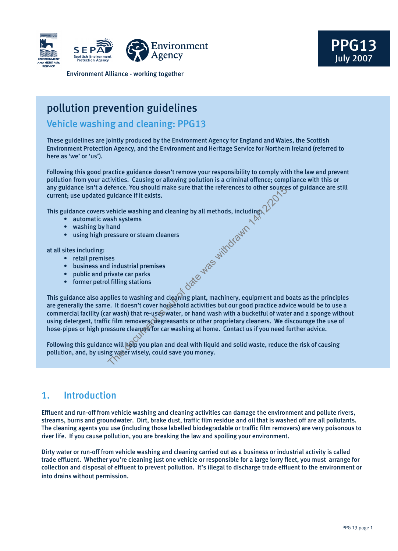



Environment Alliance - working together

## pollution prevention guidelines

## Vehicle washing and cleaning: PPG13

These guidelines are jointly produced by the Environment Agency for England and Wales, the Scottish Environment Protection Agency, and the Environment and Heritage Service for Northern Ireland (referred to here as 'we' or 'us').

Following this good practice guidance doesn't remove your responsibility to comply with the law and prevent pollution from your activities. Causing or allowing pollution is a criminal offence; compliance with this or any guidance isn't a defence. You should make sure that the references to other sources of guidance are still current; use updated guidance if it exists.

This guidance covers vehicle washing and cleaning by all methods, including: Jackson is out of the way of day

- automatic wash systems
- washing by hand
- using high pressure or steam cleaners

at all sites including:

- retail premises
- business and industrial premises
- public and private car parks
- former petrol filling stations

This guidance also applies to washing and cleaning plant, machinery, equipment and boats as the principles are generally the same. It doesn't cover household activities but our good practice advice would be to use a commercial facility (car wash) that re-uses water, or hand wash with a bucketful of water and a sponge without using detergent, traffic film removers, degreasants or other proprietary cleaners. We discourage the use of hose-pipes or high pressure cleaners for car washing at home. Contact us if you need further advice.

Following this guidance will help you plan and deal with liquid and solid waste, reduce the risk of causing pollution, and, by using water wisely, could save you money.

## 1. Introduction

Effluent and run-off from vehicle washing and cleaning activities can damage the environment and pollute rivers, streams, burns and groundwater. Dirt, brake dust, traffic film residue and oil that is washed off are all pollutants. The cleaning agents you use (including those labelled biodegradable or traffic film removers) are very poisonous to river life. If you cause pollution, you are breaking the law and spoiling your environment.

Dirty water or run-off from vehicle washing and cleaning carried out as a business or industrial activity is called trade effluent. Whether you're cleaning just one vehicle or responsible for a large lorry fleet, you must arrange for collection and disposal of effluent to prevent pollution. It's illegal to discharge trade effluent to the environment or into drains without permission.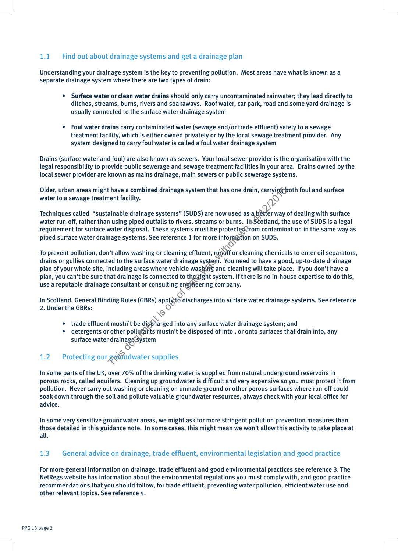## 1.1 Find out about drainage systems and get a drainage plan

Understanding your drainage system is the key to preventing pollution. Most areas have what is known as a separate drainage system where there are two types of drain:

- **Surface water** or **clean water drains** should only carry uncontaminated rainwater; they lead directly to ditches, streams, burns, rivers and soakaways. Roof water, car park, road and some yard drainage is usually connected to the surface water drainage system
- **Foul water drains** carry contaminated water (sewage and/or trade effluent) safely to a sewage treatment facility, which is either owned privately or by the local sewage treatment provider. Any system designed to carry foul water is called a foul water drainage system

Drains (surface water and foul) are also known as sewers. Your local sewer provider is the organisation with the legal responsibility to provide public sewerage and sewage treatment facilities in your area. Drains owned by the local sewer provider are known as mains drainage, main sewers or public sewerage systems.

Older, urban areas might have a combined drainage system that has one drain, carrying both foul and surface water to a sewage treatment facility.

Techniques called "sustainable drainage systems" (SUDS) are now used as a better way of dealing with surface water run-off, rather than using piped outfalls to rivers, streams or burns. In Scotland, the use of SUDS is a legal requirement for surface water disposal. These systems must be protected from contamination in the same way as piped surface water drainage systems. See reference 1 for more information on SUDS.

To prevent pollution, don't allow washing or cleaning effluent, runoff or cleaning chemicals to enter oil separators, drains or gullies connected to the surface water drainage system. You need to have a good, up-to-date drainage plan of your whole site, including areas where vehicle washing and cleaning will take place. If you don't have a plan, you can't be sure that drainage is connected to the right system. If there is no in-house expertise to do this, use a reputable drainage consultant or consulting engineering company. thave a combined drainage system that has one drain, carrying thent facility.<br>
ainable drainage systems" (SUDS) are now used as a better way on using piped outfalls to rivers, streams or burns. In Scotland, the<br>
musing pip

In Scotland, General Binding Rules (GBRs) apply to discharges into surface water drainage systems. See reference 2. Under the GBRs:

- trade effluent mustn't be discharged into any surface water drainage system; and
- detergents or other pollutants mustn't be disposed of into , or onto surfaces that drain into, any surface water drainage system

## 1.2 Protecting our groundwater supplies

In some parts of the UK, over 70% of the drinking water is supplied from natural underground reservoirs in porous rocks, called aquifers. Cleaning up groundwater is difficult and very expensive so you must protect it from pollution. Never carry out washing or cleaning on unmade ground or other porous surfaces where run-off could soak down through the soil and pollute valuable groundwater resources, always check with your local office for advice.

In some very sensitive groundwater areas, we might ask for more stringent pollution prevention measures than those detailed in this guidance note. In some cases, this might mean we won't allow this activity to take place at all.

## 1.3 General advice on drainage, trade effluent, environmental legislation and good practice

For more general information on drainage, trade effluent and good environmental practices see reference 3. The NetRegs website has information about the environmental regulations you must comply with, and good practice recommendations that you should follow, for trade effluent, preventing water pollution, efficient water use and other relevant topics. See reference 4.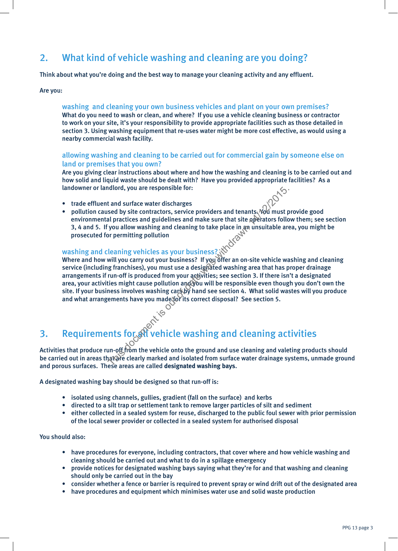## 2. What kind of vehicle washing and cleaning are you doing?

Think about what you're doing and the best way to manage your cleaning activity and any effluent.

#### Are you:

#### washing and cleaning your own business vehicles and plant on your own premises? What do you need to wash or clean, and where? If you use a vehicle cleaning business or contractor to work on your site, it's your responsibility to provide appropriate facilities such as those detailed in section 3. Using washing equipment that re-uses water might be more cost effective, as would using a nearby commercial wash facility.

#### allowing washing and cleaning to be carried out for commercial gain by someone else on land or premises that you own?

Are you giving clear instructions about where and how the washing and cleaning is to be carried out and how solid and liquid waste should be dealt with? Have you provided appropriate facilities? As a landowner or landlord, you are responsible for:

- trade effluent and surface water discharges
- pollution caused by site contractors, service providers and tenants. Not must provide good environmental practices and guidelines and make sure that site operators follow them; see section 3, 4 and 5. If you allow washing and cleaning to take place in an unsuitable area, you might be prosecuted for permitting pollution

#### washing and cleaning vehicles as your business?

Where and how will you carry out your business? If you offer an on-site vehicle washing and cleaning service (including franchises), you must use a designated washing area that has proper drainage arrangements if run-off is produced from your activities; see section 3. If there isn't a designated area, your activities might cause pollution and you will be responsible even though you don't own the site. If your business involves washing cars by hand see section 4. What solid wastes will you produce and what arrangements have you made for its correct disposal? See section 5. This document was the vehicle and of the species and tensors and tensors and tensors of date providers and guidelines and make sure that site aperators follow allow washing and cleaning to take place in an unsuitable are o

# and cleaning activities<br>3. Requirements for all vehicle washing and cleaning activities

Activities that produce run-off from the vehicle onto the ground and use cleaning and valeting products should be carried out in areas that are clearly marked and isolated from surface water drainage systems, unmade ground and porous surfaces. These areas are called **designated washing bays**.

A designated washing bay should be designed so that run-off is:

- isolated using channels, gullies, gradient (fall on the surface) and kerbs
- directed to a silt trap or settlement tank to remove larger particles of silt and sediment
- either collected in a sealed system for reuse, discharged to the public foul sewer with prior permission of the local sewer provider or collected in a sealed system for authorised disposal

#### You should also:

- have procedures for everyone, including contractors, that cover where and how vehicle washing and cleaning should be carried out and what to do in a spillage emergency
- provide notices for designated washing bays saying what they're for and that washing and cleaning should only be carried out in the bay
- consider whether a fence or barrier is required to prevent spray or wind drift out of the designated area
- have procedures and equipment which minimises water use and solid waste production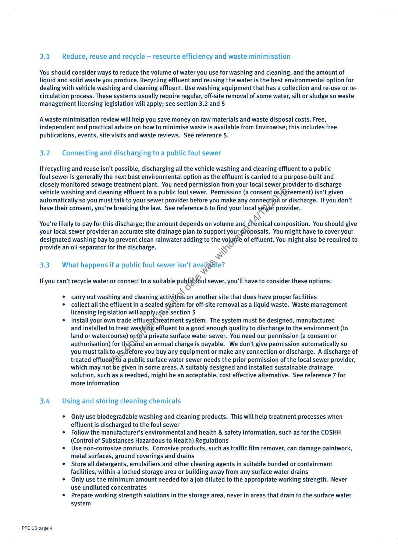## 3.1 Reduce, reuse and recycle – resource efficiency and waste minimisation

You should consider ways to reduce the volume of water you use for washing and cleaning, and the amount of liquid and solid waste you produce. Recycling effluent and reusing the water is the best environmental option for dealing with vehicle washing and cleaning effluent. Use washing equipment that has a collection and re-use or recirculation process. These systems usually require regular, off-site removal of some water, silt or sludge so waste management licensing legislation will apply; see section 3.2 and 5

A waste minimisation review will help you save money on raw materials and waste disposal costs. Free, independent and practical advice on how to minimise waste is available from Envirowise; this includes free publications, events, site visits and waste reviews. See reference 5.

## 3.2 Connecting and discharging to a public foul sewer

If recycling and reuse isn't possible, discharging all the vehicle washing and cleaning effluent to a public foul sewer is generally the next best environmental option as the effluent is carried to a purpose-built and closely monitored sewage treatment plant. You need permission from your local sewer provider to discharge vehicle washing and cleaning effluent to a public foul sewer. Permission (a consent or agreement) isn't given automatically so you must talk to your sewer provider before you make any connection or discharge. If you don't have their consent, you're breaking the law. See reference 6 to find your local sewer provider.

You're likely to pay for this discharge; the amount depends on volume and chemical composition. You should give your local sewer provider an accurate site drainage plan to support your proposals. You might have to cover your designated washing bay to prevent clean rainwater adding to the volume of effluent. You might also be required to provide an oil separator for the discharge.

## 3.3 What happens if a public foul sewer isn't avail

If you can't recycle water or connect to a suitable public foul sewer, you'll have to consider these options:

- carry out washing and cleaning activities on another site that does have proper facilities
- collect all the effluent in a sealed system for off-site removal as a liquid waste. Waste management licensing legislation will apply; see section 5
- install your own trade effluent treatment system. The system must be designed, manufactured and installed to treat washing effluent to a good enough quality to discharge to the environment (to land or watercourse) or to a private surface water sewer. You need our permission (a consent or authorisation) for this and an annual charge is payable. We don't give permission automatically so you must talk to us before you buy any equipment or make any connection or discharge. A discharge of treated efflue to a public surface water sewer needs the prior permission of the local sewer provider, which may not be given in some areas. A suitably designed and installed sustainable drainage solution, such as a reedbed, might be an acceptable, cost effective alternative. See reference 7 for more information ming effluent to a public foul sewer. Permission (a consent or age at talk to your sewer provider before you make any connection or<br>e breaking the law. See reference 6 to find your local semection or<br>e breaking the law. Se

## 3.4 Using and storing cleaning chemicals

- Only use biodegradable washing and cleaning products. This will help treatment processes when effluent is discharged to the foul sewer
- Follow the manufacturer's environmental and health & safety information, such as for the COSHH (Control of Substances Hazardous to Health) Regulations
- Use non-corrosive products. Corrosive products, such as traffic film remover, can damage paintwork, metal surfaces, ground coverings and drains
- Store all detergents, emulsifiers and other cleaning agents in suitable bunded or containment facilities, within a locked storage area or building away from any surface water drains
- Only use the minimum amount needed for a job diluted to the appropriate working strength. Never use undiluted concentrates
- Prepare working strength solutions in the storage area, never in areas that drain to the surface water system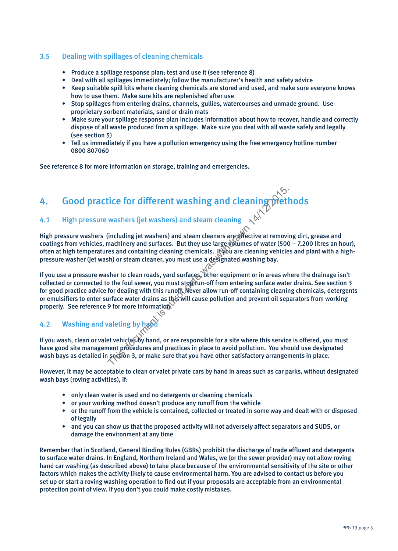## 3.5 Dealing with spillages of cleaning chemicals

- Produce a spillage response plan; test and use it (see reference 8)
- Deal with all spillages immediately; follow the manufacturer's health and safety advice
- Keep suitable spill kits where cleaning chemicals are stored and used, and make sure everyone knows how to use them. Make sure kits are replenished after use
- Stop spillages from entering drains, channels, gullies, watercourses and unmade ground. Use proprietary sorbent materials, sand or drain mats
- Make sure your spillage response plan includes information about how to recover, handle and correctly dispose of all waste produced from a spillage. Make sure you deal with all waste safely and legally (see section 5)
- Tell us immediately if you have a pollution emergency using the free emergency hotline number 0800 807060

See reference 8 for more information on storage, training and emergencies.

## 4. Good practice for different washing and cleaning methods

## 4.1 High pressure washers (jet washers) and steam cleaning

High pressure washers (including jet washers) and steam cleaners are effective at removing dirt, grease and coatings from vehicles, machinery and surfaces. But they use large witumes of water (500 – 7,200 litres an hour), often at high temperatures and containing cleaning chemicals. If you are cleaning vehicles and plant with a highpressure washer (jet wash) or steam cleaner, you must use a designated washing bay.

If you use a pressure washer to clean roads, yard surfaces, other equipment or in areas where the drainage isn't collected or connected to the foul sewer, you must stop run-off from entering surface water drains. See section 3 for good practice advice for dealing with this runoff. Never allow run-off containing cleaning chemicals, detergents or emulsifiers to enter surface water drains as this will cause pollution and prevent oil separators from working properly. See reference 9 for more information. Friend Washing and cleaning the space of the washers (jet washers) and steam cleaning  $\sim$  ( $\sim$  ( $\sim$  ( $\sim$  ( $\sim$  (including jet washers) and steam cleaners are directive at removing machinery and surfaces. But they use

## 4.2 Washing and valeting by hand

If you wash, clean or valet vehicles by hand, or are responsible for a site where this service is offered, you must have good site management procedures and practices in place to avoid pollution. You should use designated wash bays as detailed in section 3, or make sure that you have other satisfactory arrangements in place.

However, it may be acceptable to clean or valet private cars by hand in areas such as car parks, without designated wash bays (roving activities), if:

- only clean water is used and no detergents or cleaning chemicals
- or your working method doesn't produce any runoff from the vehicle
- or the runoff from the vehicle is contained, collected or treated in some way and dealt with or disposed of legally
- and you can show us that the proposed activity will not adversely affect separators and SUDS, or damage the environment at any time

Remember that in Scotland, General Binding Rules (GBRs) prohibit the discharge of trade effluent and detergents to surface water drains. In England, Northern Ireland and Wales, we (or the sewer provider) may not allow roving hand car washing (as described above) to take place because of the environmental sensitivity of the site or other factors which makes the activity likely to cause environmental harm. You are advised to contact us before you set up or start a roving washing operation to find out if your proposals are acceptable from an environmental protection point of view. If you don't you could make costly mistakes.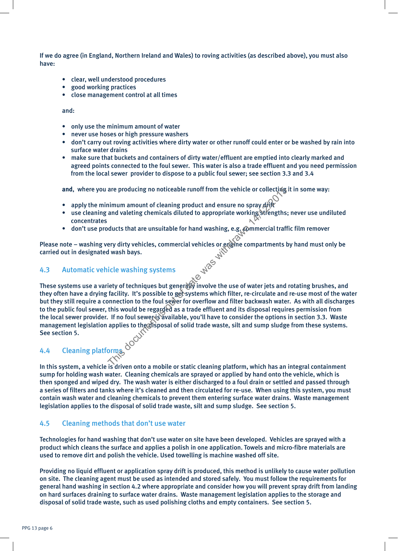If we do agree (in England, Northern Ireland and Wales) to roving activities (as described above), you must also have:

- clear, well understood procedures
- good working practices
- close management control at all times

and:

- only use the minimum amount of water
- never use hoses or high pressure washers
- don't carry out roving activities where dirty water or other runoff could enter or be washed by rain into surface water drains
- make sure that buckets and containers of dirty water/effluent are emptied into clearly marked and agreed points connected to the foul sewer. This water is also a trade effluent and you need permission from the local sewer provider to dispose to a public foul sewer; see section 3.3 and 3.4

and, where you are producing no noticeable runoff from the vehicle or collecting it in some way:

- apply the minimum amount of cleaning product and ensure no spray  $\frac{d}{dt}$
- use cleaning and valeting chemicals diluted to appropriate working strengths; never use undiluted concentrates
- don't use products that are unsuitable for hand washing, e.g. @mmercial traffic film remover

Please note – washing very dirty vehicles, commercial vehicles or engine compartments by hand must only be carried out in designated wash bays.

## 4.3 Automatic vehicle washing systems

These systems use a variety of techniques but generally involve the use of water jets and rotating brushes, and they often have a drying facility. It's possible to get systems which filter, re-circulate and re-use most of the water but they still require a connection to the foul sewer for overflow and filter backwash water. As with all discharges to the public foul sewer, this would be regarded as a trade effluent and its disposal requires permission from the local sewer provider. If no foul sewer is available, you'll have to consider the options in section 3.3. Waste management legislation applies to the disposal of solid trade waste, silt and sump sludge from these systems. See section 5. are producing no noticeable runoff from the vehicle or collectivia<br>
inimum amount of cleaning product and ensure no spray divide<br>
and valeting chemicals diluted to appropriate working strengths;<br>
ducts that are unsuitable

## 4.4 Cleaning platforms

In this system, a vehicle is driven onto a mobile or static cleaning platform, which has an integral containment sump for holding wash water. Cleaning chemicals are sprayed or applied by hand onto the vehicle, which is then sponged and wiped dry. The wash water is either discharged to a foul drain or settled and passed through a series of filters and tanks where it's cleaned and then circulated for re-use. When using this system, you must contain wash water and cleaning chemicals to prevent them entering surface water drains. Waste management legislation applies to the disposal of solid trade waste, silt and sump sludge. See section 5.

## 4.5 Cleaning methods that don't use water

Technologies for hand washing that don't use water on site have been developed. Vehicles are sprayed with a product which cleans the surface and applies a polish in one application. Towels and micro-fibre materials are used to remove dirt and polish the vehicle. Used towelling is machine washed off site.

Providing no liquid effluent or application spray drift is produced, this method is unlikely to cause water pollution on site. The cleaning agent must be used as intended and stored safely. You must follow the requirements for general hand washing in section 4.2 where appropriate and consider how you will prevent spray drift from landing on hard surfaces draining to surface water drains. Waste management legislation applies to the storage and disposal of solid trade waste, such as used polishing cloths and empty containers. See section 5.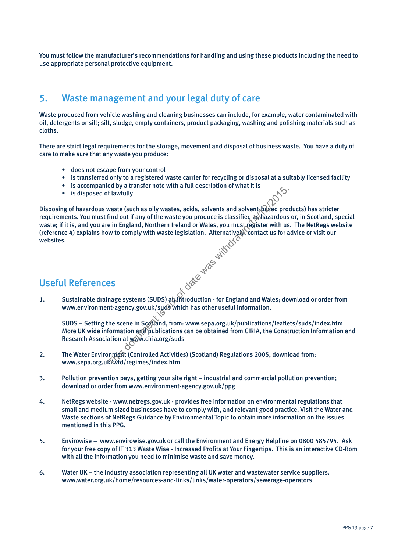You must follow the manufacturer's recommendations for handling and using these products including the need to use appropriate personal protective equipment.

## 5. Waste management and your legal duty of care

Waste produced from vehicle washing and cleaning businesses can include, for example, water contaminated with oil, detergents or silt; silt, sludge, empty containers, product packaging, washing and polishing materials such as cloths.

There are strict legal requirements for the storage, movement and disposal of business waste. You have a duty of care to make sure that any waste you produce:

- does not escape from your control
- is transferred only to a registered waste carrier for recycling or disposal at a suitably licensed facility
- is accompanied by a transfer note with a full description of what it is
- is disposed of lawfully

Disposing of hazardous waste (such as oily wastes, acids, solvents and solvent, based products) has stricter requirements. You must find out if any of the waste you produce is classified as hazardous or, in Scotland, special waste; if it is, and you are in England, Northern Ireland or Wales, you must register with us. The NetRegs website (reference 4) explains how to comply with waste legislation. Alternatively, contact us for advice or visit our websites. The state of date was actions and solvent is a solvent of the waste (such as oily wastes, acids, solvents and solvent pased profiled out if any of the waste you produce is classified as hazardous e in England, Northern Ire

## Useful References

1. Sustainable drainage systems (SUDS) and introduction - for England and Wales; download or order from www.environment-agency.gov.uk/suds which has other useful information.

SUDS – Setting the scene in Scotland, from: www.sepa.org.uk/publications/leaflets/suds/index.htm More UK wide information and publications can be obtained from CIRIA, the Construction Information and Research Association at www.ciria.org/suds

- 2. The Water Environment (Controlled Activities) (Scotland) Regulations 2005, download from: www.sepa.org.uk/wfd/regimes/index.htm
- 3. Pollution prevention pays, getting your site right industrial and commercial pollution prevention; download or order from www.environment-agency.gov.uk/ppg
- 4. NetRegs website www.netregs.gov.uk provides free information on environmental regulations that small and medium sized businesses have to comply with, and relevant good practice. Visit the Water and Waste sections of NetRegs Guidance by Environmental Topic to obtain more information on the issues mentioned in this PPG.
- 5. Envirowise www.envirowise.gov.uk or call the Environment and Energy Helpline on 0800 585794. Ask for your free copy of IT 313 Waste Wise - Increased Profits at Your Fingertips. This is an interactive CD-Rom with all the information you need to minimise waste and save money.
- 6. Water UK the industry association representing all UK water and wastewater service suppliers. www.water.org.uk/home/resources-and-links/links/water-operators/sewerage-operators